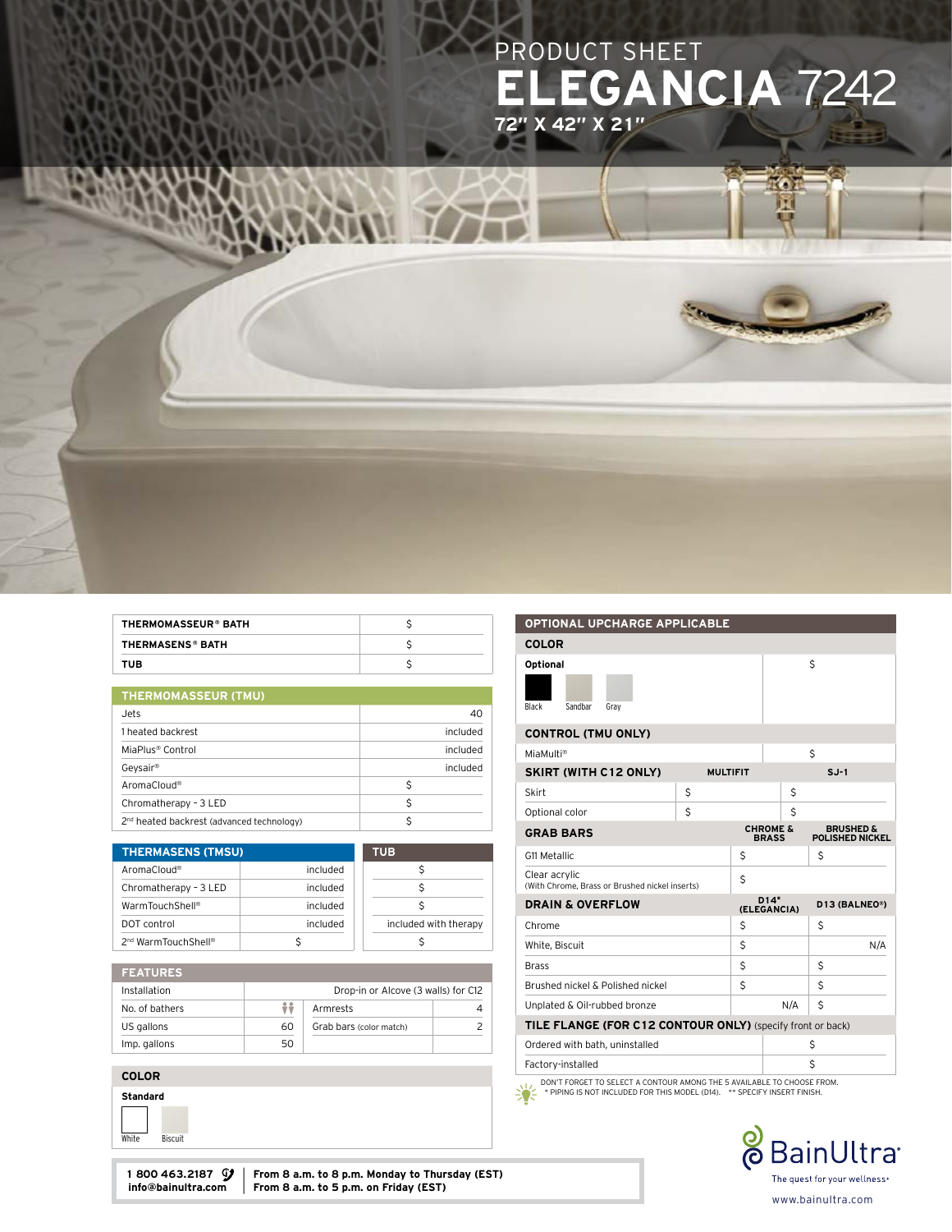

| THERMOMASSEUR® BATH     |  |
|-------------------------|--|
| <b>THERMASENS® BATH</b> |  |
| TUB                     |  |

| <b>THERMOMASSEUR (TMU)</b> |  |
|----------------------------|--|
|                            |  |
|                            |  |

| Jets.                                                 | 40       |
|-------------------------------------------------------|----------|
| 1 heated backrest                                     | included |
| MiaPlus® Control                                      |          |
| Geysair®                                              | included |
| AromaCloud®                                           | Ś        |
| Chromatherapy - 3 LED                                 | Ś        |
| 2 <sup>nd</sup> heated backrest (advanced technology) |          |

| <b>THERMASENS (TMSU)</b>        |          | <b>TUB</b>            |
|---------------------------------|----------|-----------------------|
| AromaCloud <sup>®</sup>         | included |                       |
| Chromatherapy - 3 LED           | included |                       |
| WarmTouchShell®                 | included |                       |
| DOT control                     | included | included with therapy |
| 2 <sup>nd</sup> WarmTouchShell® | S        |                       |

|  | г. |      |  |  |
|--|----|------|--|--|
|  |    | ATUR |  |  |
|  |    |      |  |  |

| Installation   |    | Drop-in or Alcove (3 walls) for C12 |  |
|----------------|----|-------------------------------------|--|
| No. of bathers | ÷÷ | Armrests                            |  |
| US gallons     | 60 | Grab bars (color match)             |  |
| Imp. gallons   | 50 |                                     |  |

#### COLOR



| 1 800 463.2187 $\mathcal{Y}$   From 8 a.m. to 8 p.m. Monday to Thursday (EST) |
|-------------------------------------------------------------------------------|
| info@bainultra.com   From 8 a.m. to 5 p.m. on Friday (EST)                    |

# COLOR Optional

OPTIONAL UPCHARGE APPLICABLE

| <b>Black</b><br>Sandbar<br>Grav                                 |                 |    |                                     |                                                |     |
|-----------------------------------------------------------------|-----------------|----|-------------------------------------|------------------------------------------------|-----|
| <b>CONTROL (TMU ONLY)</b>                                       |                 |    |                                     |                                                |     |
| MiaMulti®                                                       |                 |    |                                     | \$                                             |     |
| <b>SKIRT (WITH C12 ONLY)</b>                                    | <b>MULTIFIT</b> |    |                                     | $S.J-1$                                        |     |
| Skirt                                                           | \$              |    | Ś                                   |                                                |     |
| Optional color                                                  | \$              |    | Ś                                   |                                                |     |
| <b>GRAB BARS</b>                                                |                 |    | <b>CHROME &amp;</b><br><b>BRASS</b> | <b>BRUSHED &amp;</b><br><b>POLISHED NICKEL</b> |     |
| G11 Metallic                                                    |                 | Ś  |                                     | \$                                             |     |
| Clear acrylic<br>(With Chrome, Brass or Brushed nickel inserts) |                 | \$ |                                     |                                                |     |
|                                                                 |                 |    |                                     |                                                |     |
| <b>DRAIN &amp; OVERFLOW</b>                                     |                 |    | $D14*$<br>(ELEGANCIA)               | D13 (BALNEO®)                                  |     |
| Chrome                                                          |                 | Ś  |                                     | Ś                                              |     |
| White, Biscuit                                                  |                 | \$ |                                     |                                                | N/A |
| <b>Brass</b>                                                    |                 | \$ |                                     | Ś                                              |     |
| Brushed nickel & Polished nickel                                |                 | Ś  |                                     | Ś                                              |     |
| Unplated & Oil-rubbed bronze                                    |                 |    | N/A                                 | \$                                             |     |
| TILE FLANGE (FOR C12 CONTOUR ONLY) (specify front or back)      |                 |    |                                     |                                                |     |
| Ordered with bath, uninstalled                                  |                 |    |                                     | \$                                             |     |
| Factory-installed                                               |                 |    |                                     | Ś                                              |     |

DON'T FORGET TO SELECT A CONTOUR AMONG THE 5 AVAILABLE TO CHOOSE FROM. \* PIPING IS NOT INCLUDED FOR THIS MODEL (D14). \*\* SPECIFY INSERT FINISH.



 $\boldsymbol{\mathsf{S}}$